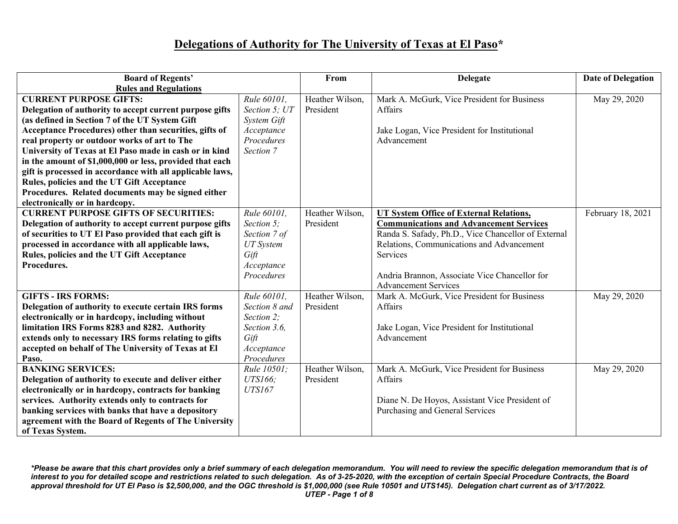## **Delegations of Authority for The University of Texas at El Paso\***

|                                                                                                                       | From                                                                                                                                                                                                                                                                                                                               | <b>Delegate</b>                                                                              | <b>Date of Delegation</b>                                                                                                                                                                                                                                                                                                                                                                                                                                                                                                                                                |
|-----------------------------------------------------------------------------------------------------------------------|------------------------------------------------------------------------------------------------------------------------------------------------------------------------------------------------------------------------------------------------------------------------------------------------------------------------------------|----------------------------------------------------------------------------------------------|--------------------------------------------------------------------------------------------------------------------------------------------------------------------------------------------------------------------------------------------------------------------------------------------------------------------------------------------------------------------------------------------------------------------------------------------------------------------------------------------------------------------------------------------------------------------------|
|                                                                                                                       |                                                                                                                                                                                                                                                                                                                                    |                                                                                              |                                                                                                                                                                                                                                                                                                                                                                                                                                                                                                                                                                          |
| Rule 60101,                                                                                                           | Heather Wilson,                                                                                                                                                                                                                                                                                                                    | Mark A. McGurk, Vice President for Business                                                  | May 29, 2020                                                                                                                                                                                                                                                                                                                                                                                                                                                                                                                                                             |
| Section 5; UT                                                                                                         | President                                                                                                                                                                                                                                                                                                                          | Affairs                                                                                      |                                                                                                                                                                                                                                                                                                                                                                                                                                                                                                                                                                          |
| System Gift                                                                                                           |                                                                                                                                                                                                                                                                                                                                    |                                                                                              |                                                                                                                                                                                                                                                                                                                                                                                                                                                                                                                                                                          |
| Acceptance                                                                                                            |                                                                                                                                                                                                                                                                                                                                    | Jake Logan, Vice President for Institutional                                                 |                                                                                                                                                                                                                                                                                                                                                                                                                                                                                                                                                                          |
|                                                                                                                       |                                                                                                                                                                                                                                                                                                                                    | Advancement                                                                                  |                                                                                                                                                                                                                                                                                                                                                                                                                                                                                                                                                                          |
|                                                                                                                       |                                                                                                                                                                                                                                                                                                                                    |                                                                                              |                                                                                                                                                                                                                                                                                                                                                                                                                                                                                                                                                                          |
|                                                                                                                       |                                                                                                                                                                                                                                                                                                                                    |                                                                                              |                                                                                                                                                                                                                                                                                                                                                                                                                                                                                                                                                                          |
|                                                                                                                       |                                                                                                                                                                                                                                                                                                                                    |                                                                                              |                                                                                                                                                                                                                                                                                                                                                                                                                                                                                                                                                                          |
|                                                                                                                       |                                                                                                                                                                                                                                                                                                                                    |                                                                                              |                                                                                                                                                                                                                                                                                                                                                                                                                                                                                                                                                                          |
|                                                                                                                       |                                                                                                                                                                                                                                                                                                                                    |                                                                                              |                                                                                                                                                                                                                                                                                                                                                                                                                                                                                                                                                                          |
|                                                                                                                       |                                                                                                                                                                                                                                                                                                                                    |                                                                                              |                                                                                                                                                                                                                                                                                                                                                                                                                                                                                                                                                                          |
|                                                                                                                       |                                                                                                                                                                                                                                                                                                                                    |                                                                                              | February 18, 2021                                                                                                                                                                                                                                                                                                                                                                                                                                                                                                                                                        |
|                                                                                                                       |                                                                                                                                                                                                                                                                                                                                    |                                                                                              |                                                                                                                                                                                                                                                                                                                                                                                                                                                                                                                                                                          |
|                                                                                                                       |                                                                                                                                                                                                                                                                                                                                    |                                                                                              |                                                                                                                                                                                                                                                                                                                                                                                                                                                                                                                                                                          |
|                                                                                                                       |                                                                                                                                                                                                                                                                                                                                    |                                                                                              |                                                                                                                                                                                                                                                                                                                                                                                                                                                                                                                                                                          |
|                                                                                                                       |                                                                                                                                                                                                                                                                                                                                    |                                                                                              |                                                                                                                                                                                                                                                                                                                                                                                                                                                                                                                                                                          |
|                                                                                                                       |                                                                                                                                                                                                                                                                                                                                    |                                                                                              |                                                                                                                                                                                                                                                                                                                                                                                                                                                                                                                                                                          |
|                                                                                                                       |                                                                                                                                                                                                                                                                                                                                    |                                                                                              |                                                                                                                                                                                                                                                                                                                                                                                                                                                                                                                                                                          |
|                                                                                                                       |                                                                                                                                                                                                                                                                                                                                    |                                                                                              |                                                                                                                                                                                                                                                                                                                                                                                                                                                                                                                                                                          |
|                                                                                                                       |                                                                                                                                                                                                                                                                                                                                    |                                                                                              | May 29, 2020                                                                                                                                                                                                                                                                                                                                                                                                                                                                                                                                                             |
|                                                                                                                       |                                                                                                                                                                                                                                                                                                                                    |                                                                                              |                                                                                                                                                                                                                                                                                                                                                                                                                                                                                                                                                                          |
|                                                                                                                       |                                                                                                                                                                                                                                                                                                                                    |                                                                                              |                                                                                                                                                                                                                                                                                                                                                                                                                                                                                                                                                                          |
|                                                                                                                       |                                                                                                                                                                                                                                                                                                                                    |                                                                                              |                                                                                                                                                                                                                                                                                                                                                                                                                                                                                                                                                                          |
|                                                                                                                       |                                                                                                                                                                                                                                                                                                                                    |                                                                                              |                                                                                                                                                                                                                                                                                                                                                                                                                                                                                                                                                                          |
|                                                                                                                       |                                                                                                                                                                                                                                                                                                                                    |                                                                                              |                                                                                                                                                                                                                                                                                                                                                                                                                                                                                                                                                                          |
|                                                                                                                       |                                                                                                                                                                                                                                                                                                                                    |                                                                                              |                                                                                                                                                                                                                                                                                                                                                                                                                                                                                                                                                                          |
|                                                                                                                       |                                                                                                                                                                                                                                                                                                                                    |                                                                                              | May 29, 2020                                                                                                                                                                                                                                                                                                                                                                                                                                                                                                                                                             |
|                                                                                                                       |                                                                                                                                                                                                                                                                                                                                    |                                                                                              |                                                                                                                                                                                                                                                                                                                                                                                                                                                                                                                                                                          |
|                                                                                                                       |                                                                                                                                                                                                                                                                                                                                    |                                                                                              |                                                                                                                                                                                                                                                                                                                                                                                                                                                                                                                                                                          |
|                                                                                                                       |                                                                                                                                                                                                                                                                                                                                    |                                                                                              |                                                                                                                                                                                                                                                                                                                                                                                                                                                                                                                                                                          |
|                                                                                                                       |                                                                                                                                                                                                                                                                                                                                    |                                                                                              |                                                                                                                                                                                                                                                                                                                                                                                                                                                                                                                                                                          |
|                                                                                                                       |                                                                                                                                                                                                                                                                                                                                    |                                                                                              |                                                                                                                                                                                                                                                                                                                                                                                                                                                                                                                                                                          |
| in the amount of \$1,000,000 or less, provided that each<br>gift is processed in accordance with all applicable laws, | Procedures<br>Section 7<br>Rule 60101,<br>Section 5;<br>Section 7 of<br><b>UT</b> System<br>Gift<br>Acceptance<br>Procedures<br>Rule 60101,<br>Section 8 and<br>Section 2;<br>Section 3.6,<br>Gift<br>Acceptance<br>Procedures<br>Rule 10501;<br>UTS166:<br><b>UTS167</b><br>agreement with the Board of Regents of The University | Heather Wilson,<br>President<br>Heather Wilson,<br>President<br>Heather Wilson,<br>President | <b>UT System Office of External Relations,</b><br><b>Communications and Advancement Services</b><br>Randa S. Safady, Ph.D., Vice Chancellor of External<br>Relations, Communications and Advancement<br>Services<br>Andria Brannon, Associate Vice Chancellor for<br><b>Advancement Services</b><br>Mark A. McGurk, Vice President for Business<br>Affairs<br>Jake Logan, Vice President for Institutional<br>Advancement<br>Mark A. McGurk, Vice President for Business<br>Affairs<br>Diane N. De Hoyos, Assistant Vice President of<br>Purchasing and General Services |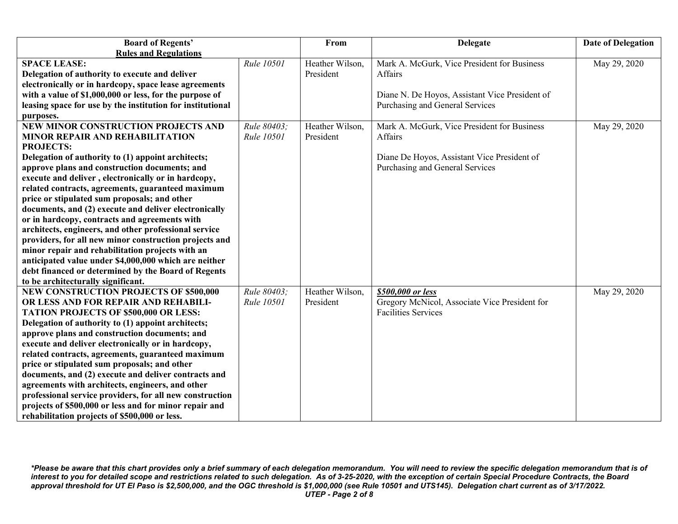| <b>Board of Regents'</b>                                   |             | From            | <b>Delegate</b>                                | <b>Date of Delegation</b> |
|------------------------------------------------------------|-------------|-----------------|------------------------------------------------|---------------------------|
| <b>Rules and Regulations</b>                               |             |                 |                                                |                           |
| <b>SPACE LEASE:</b>                                        | Rule 10501  | Heather Wilson, | Mark A. McGurk, Vice President for Business    | May 29, 2020              |
| Delegation of authority to execute and deliver             |             | President       | Affairs                                        |                           |
| electronically or in hardcopy, space lease agreements      |             |                 |                                                |                           |
| with a value of \$1,000,000 or less, for the purpose of    |             |                 | Diane N. De Hoyos, Assistant Vice President of |                           |
| leasing space for use by the institution for institutional |             |                 | Purchasing and General Services                |                           |
| purposes.                                                  |             |                 |                                                |                           |
| NEW MINOR CONSTRUCTION PROJECTS AND                        | Rule 80403; | Heather Wilson, | Mark A. McGurk, Vice President for Business    | May 29, 2020              |
| MINOR REPAIR AND REHABILITATION                            | Rule 10501  | President       | Affairs                                        |                           |
| <b>PROJECTS:</b>                                           |             |                 |                                                |                           |
| Delegation of authority to (1) appoint architects;         |             |                 | Diane De Hoyos, Assistant Vice President of    |                           |
| approve plans and construction documents; and              |             |                 | Purchasing and General Services                |                           |
| execute and deliver, electronically or in hardcopy,        |             |                 |                                                |                           |
| related contracts, agreements, guaranteed maximum          |             |                 |                                                |                           |
| price or stipulated sum proposals; and other               |             |                 |                                                |                           |
| documents, and (2) execute and deliver electronically      |             |                 |                                                |                           |
| or in hardcopy, contracts and agreements with              |             |                 |                                                |                           |
| architects, engineers, and other professional service      |             |                 |                                                |                           |
| providers, for all new minor construction projects and     |             |                 |                                                |                           |
| minor repair and rehabilitation projects with an           |             |                 |                                                |                           |
| anticipated value under \$4,000,000 which are neither      |             |                 |                                                |                           |
| debt financed or determined by the Board of Regents        |             |                 |                                                |                           |
| to be architecturally significant.                         |             |                 |                                                |                           |
| NEW CONSTRUCTION PROJECTS OF \$500,000                     | Rule 80403; | Heather Wilson, | \$500,000 or less                              | May 29, 2020              |
| OR LESS AND FOR REPAIR AND REHABILI-                       | Rule 10501  | President       | Gregory McNicol, Associate Vice President for  |                           |
| <b>TATION PROJECTS OF \$500,000 OR LESS:</b>               |             |                 | <b>Facilities Services</b>                     |                           |
| Delegation of authority to (1) appoint architects;         |             |                 |                                                |                           |
| approve plans and construction documents; and              |             |                 |                                                |                           |
| execute and deliver electronically or in hardcopy,         |             |                 |                                                |                           |
| related contracts, agreements, guaranteed maximum          |             |                 |                                                |                           |
| price or stipulated sum proposals; and other               |             |                 |                                                |                           |
| documents, and (2) execute and deliver contracts and       |             |                 |                                                |                           |
| agreements with architects, engineers, and other           |             |                 |                                                |                           |
| professional service providers, for all new construction   |             |                 |                                                |                           |
| projects of \$500,000 or less and for minor repair and     |             |                 |                                                |                           |
| rehabilitation projects of \$500,000 or less.              |             |                 |                                                |                           |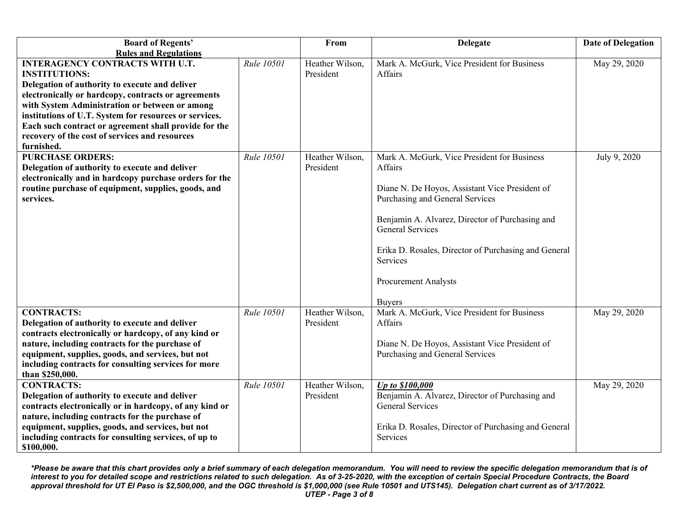| <b>Board of Regents'</b><br><b>Rules and Regulations</b>                                                                                                                                                                                                                                                                                                                                                     |            | From                         | <b>Delegate</b>                                                                                                                                                                                                                                                                                                                               | <b>Date of Delegation</b> |
|--------------------------------------------------------------------------------------------------------------------------------------------------------------------------------------------------------------------------------------------------------------------------------------------------------------------------------------------------------------------------------------------------------------|------------|------------------------------|-----------------------------------------------------------------------------------------------------------------------------------------------------------------------------------------------------------------------------------------------------------------------------------------------------------------------------------------------|---------------------------|
| <b>INTERAGENCY CONTRACTS WITH U.T.</b><br><b>INSTITUTIONS:</b><br>Delegation of authority to execute and deliver<br>electronically or hardcopy, contracts or agreements<br>with System Administration or between or among<br>institutions of U.T. System for resources or services.<br>Each such contract or agreement shall provide for the<br>recovery of the cost of services and resources<br>furnished. | Rule 10501 | Heather Wilson,<br>President | Mark A. McGurk, Vice President for Business<br>Affairs                                                                                                                                                                                                                                                                                        | May 29, 2020              |
| <b>PURCHASE ORDERS:</b><br>Delegation of authority to execute and deliver<br>electronically and in hardcopy purchase orders for the<br>routine purchase of equipment, supplies, goods, and<br>services.                                                                                                                                                                                                      | Rule 10501 | Heather Wilson,<br>President | Mark A. McGurk, Vice President for Business<br>Affairs<br>Diane N. De Hoyos, Assistant Vice President of<br>Purchasing and General Services<br>Benjamin A. Alvarez, Director of Purchasing and<br><b>General Services</b><br>Erika D. Rosales, Director of Purchasing and General<br>Services<br><b>Procurement Analysts</b><br><b>Buyers</b> | July 9, 2020              |
| <b>CONTRACTS:</b><br>Delegation of authority to execute and deliver<br>contracts electronically or hardcopy, of any kind or<br>nature, including contracts for the purchase of<br>equipment, supplies, goods, and services, but not<br>including contracts for consulting services for more<br>than \$250,000.                                                                                               | Rule 10501 | Heather Wilson,<br>President | Mark A. McGurk, Vice President for Business<br>Affairs<br>Diane N. De Hoyos, Assistant Vice President of<br>Purchasing and General Services                                                                                                                                                                                                   | May 29, 2020              |
| <b>CONTRACTS:</b><br>Delegation of authority to execute and deliver<br>contracts electronically or in hardcopy, of any kind or<br>nature, including contracts for the purchase of<br>equipment, supplies, goods, and services, but not<br>including contracts for consulting services, of up to<br>\$100,000.                                                                                                | Rule 10501 | Heather Wilson,<br>President | <b>Up to \$100,000</b><br>Benjamin A. Alvarez, Director of Purchasing and<br><b>General Services</b><br>Erika D. Rosales, Director of Purchasing and General<br>Services                                                                                                                                                                      | May 29, 2020              |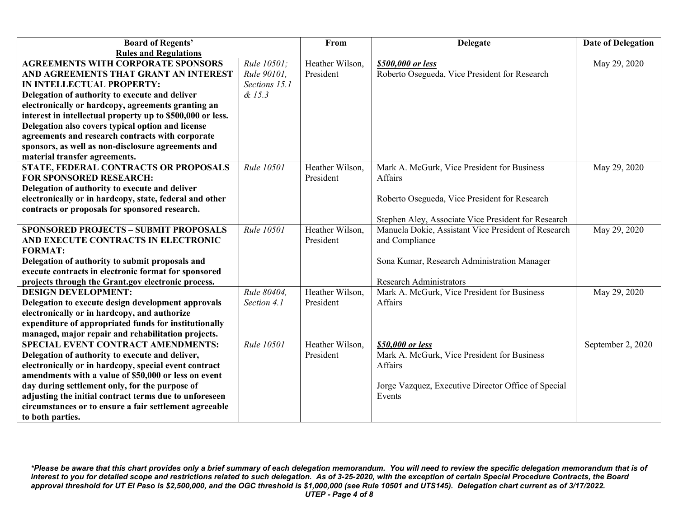| <b>Board of Regents'</b>                                   |                   | From            | <b>Delegate</b>                                     | <b>Date of Delegation</b> |
|------------------------------------------------------------|-------------------|-----------------|-----------------------------------------------------|---------------------------|
| <b>Rules and Regulations</b>                               |                   |                 |                                                     |                           |
| <b>AGREEMENTS WITH CORPORATE SPONSORS</b>                  | Rule 10501;       | Heather Wilson, | \$500,000 or less                                   | May 29, 2020              |
| AND AGREEMENTS THAT GRANT AN INTEREST                      | Rule 90101.       | President       | Roberto Osegueda, Vice President for Research       |                           |
| IN INTELLECTUAL PROPERTY:                                  | Sections 15.1     |                 |                                                     |                           |
| Delegation of authority to execute and deliver             | & 15.3            |                 |                                                     |                           |
| electronically or hardcopy, agreements granting an         |                   |                 |                                                     |                           |
| interest in intellectual property up to \$500,000 or less. |                   |                 |                                                     |                           |
| Delegation also covers typical option and license          |                   |                 |                                                     |                           |
| agreements and research contracts with corporate           |                   |                 |                                                     |                           |
| sponsors, as well as non-disclosure agreements and         |                   |                 |                                                     |                           |
| material transfer agreements.                              |                   |                 |                                                     |                           |
| STATE, FEDERAL CONTRACTS OR PROPOSALS                      | Rule 10501        | Heather Wilson, | Mark A. McGurk, Vice President for Business         | May 29, 2020              |
| <b>FOR SPONSORED RESEARCH:</b>                             |                   | President       | Affairs                                             |                           |
| Delegation of authority to execute and deliver             |                   |                 |                                                     |                           |
| electronically or in hardcopy, state, federal and other    |                   |                 | Roberto Osegueda, Vice President for Research       |                           |
| contracts or proposals for sponsored research.             |                   |                 |                                                     |                           |
|                                                            |                   |                 | Stephen Aley, Associate Vice President for Research |                           |
| <b>SPONSORED PROJECTS - SUBMIT PROPOSALS</b>               | <b>Rule 10501</b> | Heather Wilson, | Manuela Dokie, Assistant Vice President of Research | May 29, 2020              |
| AND EXECUTE CONTRACTS IN ELECTRONIC                        |                   | President       | and Compliance                                      |                           |
| <b>FORMAT:</b>                                             |                   |                 |                                                     |                           |
| Delegation of authority to submit proposals and            |                   |                 | Sona Kumar, Research Administration Manager         |                           |
| execute contracts in electronic format for sponsored       |                   |                 |                                                     |                           |
| projects through the Grant.gov electronic process.         |                   |                 | <b>Research Administrators</b>                      |                           |
| <b>DESIGN DEVELOPMENT:</b>                                 | Rule 80404,       | Heather Wilson, | Mark A. McGurk, Vice President for Business         | May 29, 2020              |
| Delegation to execute design development approvals         | Section 4.1       | President       | Affairs                                             |                           |
| electronically or in hardcopy, and authorize               |                   |                 |                                                     |                           |
| expenditure of appropriated funds for institutionally      |                   |                 |                                                     |                           |
| managed, major repair and rehabilitation projects.         |                   |                 |                                                     |                           |
| SPECIAL EVENT CONTRACT AMENDMENTS:                         | Rule 10501        | Heather Wilson, | \$50,000 or less                                    | September 2, 2020         |
| Delegation of authority to execute and deliver,            |                   | President       | Mark A. McGurk, Vice President for Business         |                           |
| electronically or in hardcopy, special event contract      |                   |                 | Affairs                                             |                           |
| amendments with a value of \$50,000 or less on event       |                   |                 |                                                     |                           |
| day during settlement only, for the purpose of             |                   |                 | Jorge Vazquez, Executive Director Office of Special |                           |
| adjusting the initial contract terms due to unforeseen     |                   |                 | Events                                              |                           |
| circumstances or to ensure a fair settlement agreeable     |                   |                 |                                                     |                           |
| to both parties.                                           |                   |                 |                                                     |                           |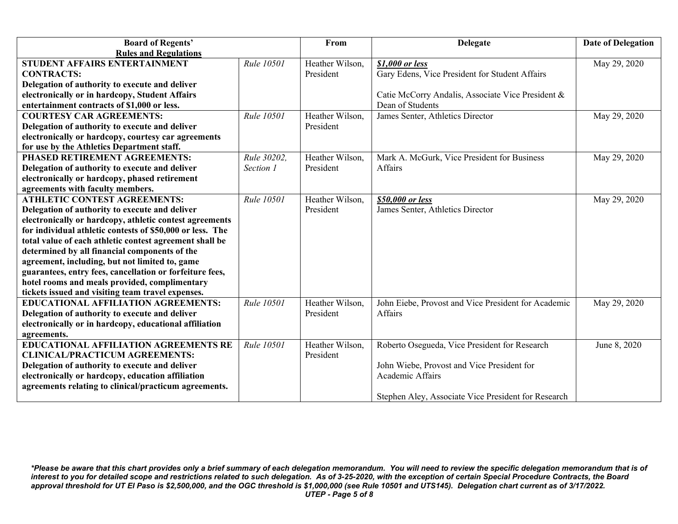| <b>Board of Regents'</b>                                  |             | From            | <b>Delegate</b>                                     | <b>Date of Delegation</b> |
|-----------------------------------------------------------|-------------|-----------------|-----------------------------------------------------|---------------------------|
| <b>Rules and Regulations</b>                              |             |                 |                                                     |                           |
| STUDENT AFFAIRS ENTERTAINMENT                             | Rule 10501  | Heather Wilson, | \$1,000 or less                                     | May 29, 2020              |
| <b>CONTRACTS:</b>                                         |             | President       | Gary Edens, Vice President for Student Affairs      |                           |
| Delegation of authority to execute and deliver            |             |                 |                                                     |                           |
| electronically or in hardcopy, Student Affairs            |             |                 | Catie McCorry Andalis, Associate Vice President &   |                           |
| entertainment contracts of \$1,000 or less.               |             |                 | Dean of Students                                    |                           |
| <b>COURTESY CAR AGREEMENTS:</b>                           | Rule 10501  | Heather Wilson. | James Senter, Athletics Director                    | May 29, 2020              |
| Delegation of authority to execute and deliver            |             | President       |                                                     |                           |
| electronically or hardcopy, courtesy car agreements       |             |                 |                                                     |                           |
| for use by the Athletics Department staff.                |             |                 |                                                     |                           |
| PHASED RETIREMENT AGREEMENTS:                             | Rule 30202, | Heather Wilson, | Mark A. McGurk, Vice President for Business         | May 29, 2020              |
| Delegation of authority to execute and deliver            | Section 1   | President       | Affairs                                             |                           |
| electronically or hardcopy, phased retirement             |             |                 |                                                     |                           |
| agreements with faculty members.                          |             |                 |                                                     |                           |
| <b>ATHLETIC CONTEST AGREEMENTS:</b>                       | Rule 10501  | Heather Wilson, | \$50,000 or less                                    | May 29, 2020              |
| Delegation of authority to execute and deliver            |             | President       | James Senter, Athletics Director                    |                           |
| electronically or hardcopy, athletic contest agreements   |             |                 |                                                     |                           |
| for individual athletic contests of \$50,000 or less. The |             |                 |                                                     |                           |
| total value of each athletic contest agreement shall be   |             |                 |                                                     |                           |
| determined by all financial components of the             |             |                 |                                                     |                           |
| agreement, including, but not limited to, game            |             |                 |                                                     |                           |
| guarantees, entry fees, cancellation or forfeiture fees,  |             |                 |                                                     |                           |
| hotel rooms and meals provided, complimentary             |             |                 |                                                     |                           |
| tickets issued and visiting team travel expenses.         |             |                 |                                                     |                           |
| <b>EDUCATIONAL AFFILIATION AGREEMENTS:</b>                | Rule 10501  | Heather Wilson. | John Eiebe, Provost and Vice President for Academic | May 29, 2020              |
| Delegation of authority to execute and deliver            |             | President       | Affairs                                             |                           |
| electronically or in hardcopy, educational affiliation    |             |                 |                                                     |                           |
| agreements.                                               |             |                 |                                                     |                           |
| <b>EDUCATIONAL AFFILIATION AGREEMENTS RE</b>              | Rule 10501  | Heather Wilson, | Roberto Osegueda, Vice President for Research       | June 8, 2020              |
| <b>CLINICAL/PRACTICUM AGREEMENTS:</b>                     |             | President       |                                                     |                           |
| Delegation of authority to execute and deliver            |             |                 | John Wiebe, Provost and Vice President for          |                           |
| electronically or hardcopy, education affiliation         |             |                 | Academic Affairs                                    |                           |
| agreements relating to clinical/practicum agreements.     |             |                 |                                                     |                           |
|                                                           |             |                 | Stephen Aley, Associate Vice President for Research |                           |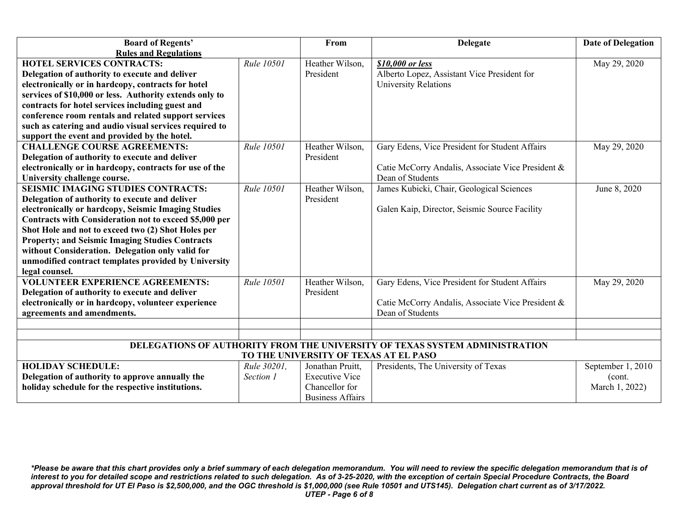| <b>Board of Regents'</b>                                |             | From                    | <b>Delegate</b>                                                             | <b>Date of Delegation</b> |  |
|---------------------------------------------------------|-------------|-------------------------|-----------------------------------------------------------------------------|---------------------------|--|
| <b>Rules and Regulations</b>                            |             |                         |                                                                             |                           |  |
| <b>HOTEL SERVICES CONTRACTS:</b>                        | Rule 10501  | Heather Wilson,         | \$10,000 or less                                                            | May 29, 2020              |  |
| Delegation of authority to execute and deliver          |             | President               | Alberto Lopez, Assistant Vice President for                                 |                           |  |
| electronically or in hardcopy, contracts for hotel      |             |                         | <b>University Relations</b>                                                 |                           |  |
| services of \$10,000 or less. Authority extends only to |             |                         |                                                                             |                           |  |
| contracts for hotel services including guest and        |             |                         |                                                                             |                           |  |
| conference room rentals and related support services    |             |                         |                                                                             |                           |  |
| such as catering and audio visual services required to  |             |                         |                                                                             |                           |  |
| support the event and provided by the hotel.            |             |                         |                                                                             |                           |  |
| <b>CHALLENGE COURSE AGREEMENTS:</b>                     | Rule 10501  | Heather Wilson.         | Gary Edens, Vice President for Student Affairs                              | May 29, 2020              |  |
| Delegation of authority to execute and deliver          |             | President               |                                                                             |                           |  |
| electronically or in hardcopy, contracts for use of the |             |                         | Catie McCorry Andalis, Associate Vice President &                           |                           |  |
| University challenge course.                            |             |                         | Dean of Students                                                            |                           |  |
| <b>SEISMIC IMAGING STUDIES CONTRACTS:</b>               | Rule 10501  | Heather Wilson,         | James Kubicki, Chair, Geological Sciences                                   | June 8, 2020              |  |
| Delegation of authority to execute and deliver          |             | President               |                                                                             |                           |  |
| electronically or hardcopy, Seismic Imaging Studies     |             |                         | Galen Kaip, Director, Seismic Source Facility                               |                           |  |
| Contracts with Consideration not to exceed \$5,000 per  |             |                         |                                                                             |                           |  |
| Shot Hole and not to exceed two (2) Shot Holes per      |             |                         |                                                                             |                           |  |
| <b>Property; and Seismic Imaging Studies Contracts</b>  |             |                         |                                                                             |                           |  |
| without Consideration. Delegation only valid for        |             |                         |                                                                             |                           |  |
| unmodified contract templates provided by University    |             |                         |                                                                             |                           |  |
| legal counsel.                                          |             |                         |                                                                             |                           |  |
| <b>VOLUNTEER EXPERIENCE AGREEMENTS:</b>                 | Rule 10501  | Heather Wilson,         | Gary Edens, Vice President for Student Affairs                              | May 29, 2020              |  |
| Delegation of authority to execute and deliver          |             | President               |                                                                             |                           |  |
| electronically or in hardcopy, volunteer experience     |             |                         | Catie McCorry Andalis, Associate Vice President &                           |                           |  |
| agreements and amendments.                              |             |                         | Dean of Students                                                            |                           |  |
|                                                         |             |                         |                                                                             |                           |  |
|                                                         |             |                         |                                                                             |                           |  |
|                                                         |             |                         | DELEGATIONS OF AUTHORITY FROM THE UNIVERSITY OF TEXAS SYSTEM ADMINISTRATION |                           |  |
| TO THE UNIVERSITY OF TEXAS AT EL PASO                   |             |                         |                                                                             |                           |  |
| <b>HOLIDAY SCHEDULE:</b>                                | Rule 30201, | Jonathan Pruitt,        | Presidents, The University of Texas                                         | September 1, 2010         |  |
| Delegation of authority to approve annually the         | Section 1   | <b>Executive Vice</b>   |                                                                             | (cont.                    |  |
| holiday schedule for the respective institutions.       |             | Chancellor for          |                                                                             | March 1, 2022)            |  |
|                                                         |             | <b>Business Affairs</b> |                                                                             |                           |  |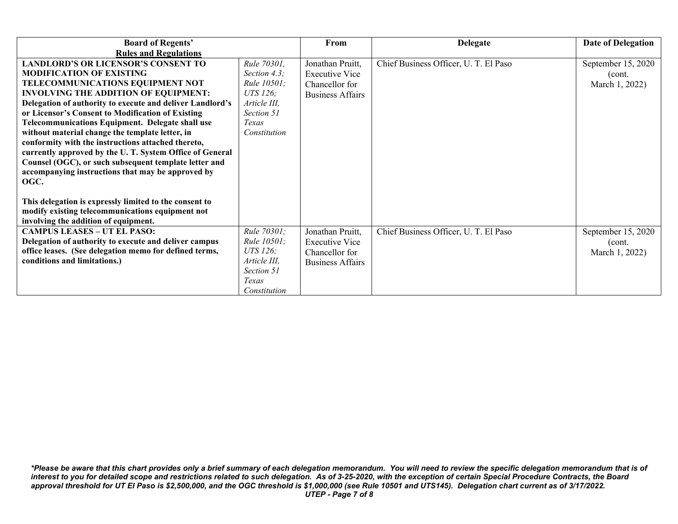| <b>Board of Regents'</b>                                  |                 | From                    | <b>Delegate</b>                       | <b>Date of Delegation</b> |
|-----------------------------------------------------------|-----------------|-------------------------|---------------------------------------|---------------------------|
| <b>Rules and Regulations</b>                              |                 |                         |                                       |                           |
| <b>LANDLORD'S OR LICENSOR'S CONSENT TO</b>                | Rule 70301,     | Jonathan Pruitt,        | Chief Business Officer, U. T. El Paso | September 15, 2020        |
| <b>MODIFICATION OF EXISTING</b>                           | Section $4.3$ ; | <b>Executive Vice</b>   |                                       | (cont.)                   |
| TELECOMMUNICATIONS EQUIPMENT NOT                          | Rule 10501;     | Chancellor for          |                                       | March 1, 2022)            |
| <b>INVOLVING THE ADDITION OF EQUIPMENT:</b>               | UTS 126;        | <b>Business Affairs</b> |                                       |                           |
| Delegation of authority to execute and deliver Landlord's | Article III,    |                         |                                       |                           |
| or Licensor's Consent to Modification of Existing         | Section 51      |                         |                                       |                           |
| Telecommunications Equipment. Delegate shall use          | Texas           |                         |                                       |                           |
| without material change the template letter, in           | Constitution    |                         |                                       |                           |
| conformity with the instructions attached thereto,        |                 |                         |                                       |                           |
| currently approved by the U.T. System Office of General   |                 |                         |                                       |                           |
| Counsel (OGC), or such subsequent template letter and     |                 |                         |                                       |                           |
| accompanying instructions that may be approved by         |                 |                         |                                       |                           |
| OGC.                                                      |                 |                         |                                       |                           |
|                                                           |                 |                         |                                       |                           |
| This delegation is expressly limited to the consent to    |                 |                         |                                       |                           |
| modify existing telecommunications equipment not          |                 |                         |                                       |                           |
| involving the addition of equipment.                      |                 |                         |                                       |                           |
| <b>CAMPUS LEASES - UT EL PASO:</b>                        | Rule 70301;     | Jonathan Pruitt,        | Chief Business Officer, U. T. El Paso | September 15, 2020        |
| Delegation of authority to execute and deliver campus     | Rule 10501;     | <b>Executive Vice</b>   |                                       | (cont.)                   |
| office leases. (See delegation memo for defined terms,    | UTS 126;        | Chancellor for          |                                       | March 1, 2022)            |
| conditions and limitations.)                              | Article III,    | <b>Business Affairs</b> |                                       |                           |
|                                                           | Section 51      |                         |                                       |                           |
|                                                           | Texas           |                         |                                       |                           |
|                                                           | Constitution    |                         |                                       |                           |